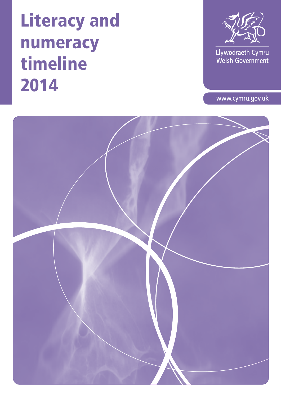

Llywodraeth Cymru<br>Welsh Government

www.cymru.gov.uk

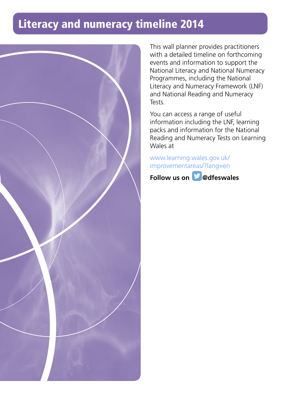

This wall planner provides practitioners with a detailed timeline on forthcoming events and information to support the National Literacy and National Numeracy Programmes, including the National Literacy and Numeracy Framework (LNF) and National Reading and Numeracy Tests.

You can access a range of useful information including the LNF, learning packs and information for the National Reading and Numeracy Tests on Learning Wales at

#### [www.learning.wales.gov.uk/](www.learning.wales.gov.uk%20improvementareas/%3Flang%3Den) [i](www.learning.wales.gov.uk/improvementareas/?lang=en)[mprovementareas/?lang=e](www.learning.wales.gov.uk%20improvementareas/%3Flang%3Den)[n](www.learning.wales.gov.uk/improvementareas/?lang=en)

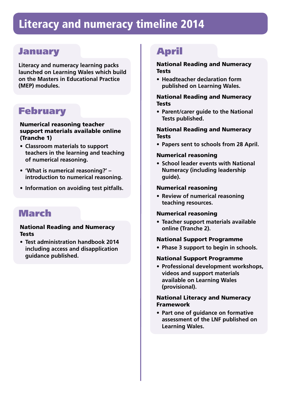### January

**Literacy and numeracy learning packs launched on Learning Wales which build on the Masters in Educational Practice (MEP) modules.**

### February

#### Numerical reasoning teacher support materials available online (Tranche 1)

- **• Classroom materials to support teachers in the learning and teaching of numerical reasoning.**
- **• 'What is numerical reasoning?' introduction to numerical reasoning.**
- **• Information on avoiding test pitfalls.**

### March

#### National Reading and Numeracy **Tests**

**• Test administration handbook 2014 including access and disapplication guidance published.** 

### April

#### National Reading and Numeracy **Tests**

**• Headteacher declaration form published on Learning Wales.**

#### National Reading and Numeracy **Tests**

**• Parent/carer guide to the National Tests published.**

#### National Reading and Numeracy Tests

**• Papers sent to schools from 28 April.**

#### Numerical reasoning

**• School leader events with National Numeracy (including leadership guide).**

#### Numerical reasoning

**• Review of numerical reasoning teaching resources.**

#### Numerical reasoning

**• Teacher support materials available online (Tranche 2).**

#### National Support Programme

**• Phase 3 support to begin in schools.**

#### National Support Programme

**• Professional development workshops, videos and support materials available on Learning Wales (provisional).**

#### National Literacy and Numeracy Framework

**• Part one of guidance on formative assessment of the LNF published on Learning Wales.**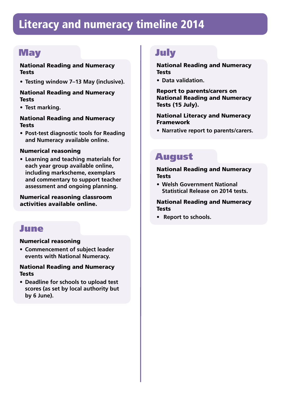### **May**

#### National Reading and Numeracy Tests

**• Testing window 7–13 May (inclusive).** 

#### National Reading and Numeracy **Tests**

**• Test marking.**

#### National Reading and Numeracy **Tests**

**• Post-test diagnostic tools for Reading and Numeracy available online.**

#### Numerical reasoning

**• Learning and teaching materials for each year group available online, including markscheme, exemplars and commentary to support teacher assessment and ongoing planning.** 

#### Numerical reasoning classroom activities available online.

### June

#### Numerical reasoning

**• Commencement of subject leader events with National Numeracy.**

#### National Reading and Numeracy **Tests**

**• Deadline for schools to upload test scores (as set by local authority but by 6 June).** 

### July

#### National Reading and Numeracy **Tests**

**• Data validation.** 

Report to parents/carers on National Reading and Numeracy Tests (15 July).

#### National Literacy and Numeracy Framework

**• Narrative report to parents/carers.**

### August

#### National Reading and Numeracy Tests

**• Welsh Government National Statistical Release on 2014 tests.**

#### National Reading and Numeracy Tests

**• Report to schools.**